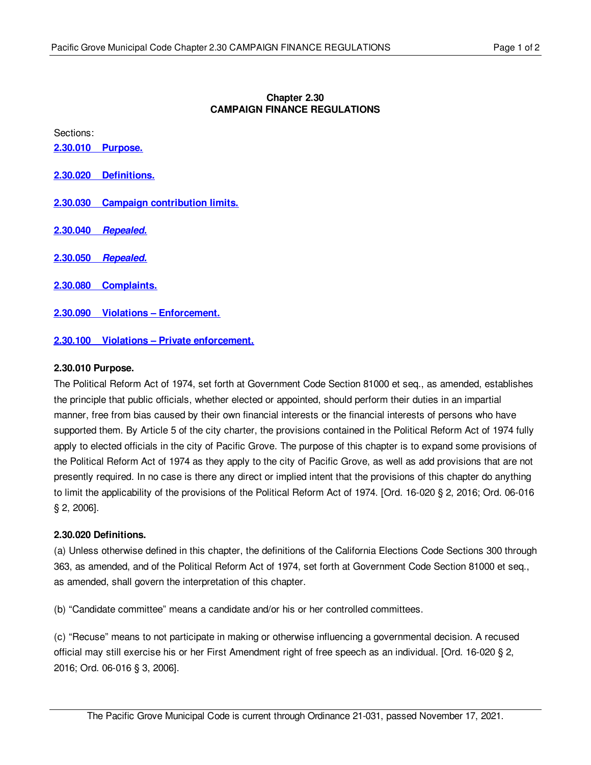# **Chapter 2.30 CAMPAIGN FINANCE REGULATIONS**

Sections:

**2.30.010 [Purpose.](#page-0-0)**

**2.30.020 [Definitions.](#page-0-1)**

**2.30.030 Campaign [contribution](#page-1-0) limits.**

**2.30.040** *Repealed.*

**2.30.050** *Repealed.*

**2.30.080 [Complaints.](#page-1-1)**

**2.30.090 Violations – [Enforcement.](#page-1-2)**

**2.30.100 Violations – Private [enforcement.](#page-1-3)**

#### <span id="page-0-0"></span>**2.30.010 Purpose.**

The Political Reform Act of 1974, set forth at Government Code Section 81000 et seq., as amended, establishes the principle that public officials, whether elected or appointed, should perform their duties in an impartial manner, free from bias caused by their own financial interests or the financial interests of persons who have supported them. By Article 5 of the city charter, the provisions contained in the Political Reform Act of 1974 fully apply to elected officials in the city of Pacific Grove. The purpose of this chapter is to expand some provisions of the Political Reform Act of 1974 as they apply to the city of Pacific Grove, as well as add provisions that are not presently required. In no case is there any direct or implied intent that the provisions of this chapter do anything to limit the applicability of the provisions of the Political Reform Act of 1974. [Ord. 16-020 § 2, 2016; Ord. 06-016 § 2, 2006].

#### <span id="page-0-1"></span>**2.30.020 Definitions.**

(a) Unless otherwise defined in this chapter, the definitions of the California Elections Code Sections 300 through 363, as amended, and of the Political Reform Act of 1974, set forth at Government Code Section 81000 et seq., as amended, shall govern the interpretation of this chapter.

(b) "Candidate committee" means a candidate and/or his or her controlled committees.

(c) "Recuse" means to not participate in making or otherwise influencing a governmental decision. A recused official may still exercise his or her First Amendment right of free speech as an individual. [Ord. 16-020 § 2, 2016; Ord. 06-016 § 3, 2006].